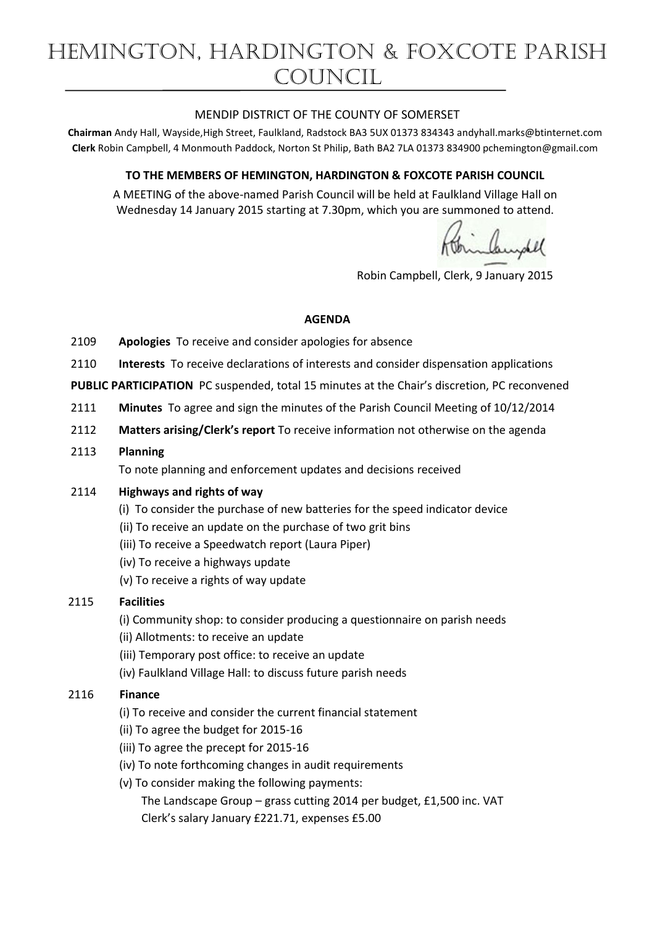## MENDIP DISTRICT OF THE COUNTY OF SOMERSET

**Chairman** Andy Hall, Wayside,High Street, Faulkland, Radstock BA3 5UX 01373 834343 andyhall.marks@btinternet.com **Clerk** Robin Campbell, 4 Monmouth Paddock, Norton St Philip, Bath BA2 7LA 01373 834900 [pchemington@gmail.com](mailto:pchemington@gmail.com)

## **TO THE MEMBERS OF HEMINGTON, HARDINGTON & FOXCOTE PARISH COUNCIL**

A MEETING of the above-named Parish Council will be held at Faulkland Village Hall on Wednesday 14 January 2015 starting at 7.30pm, which you are summoned to attend.

Brinkeydel

Robin Campbell, Clerk, 9 January 2015

#### **AGENDA**

- 2109 **Apologies** To receive and consider apologies for absence
- 2110 **Interests** To receive declarations of interests and consider dispensation applications

**PUBLIC PARTICIPATION** PC suspended, total 15 minutes at the Chair's discretion, PC reconvened

- 2111 **Minutes** To agree and sign the minutes of the Parish Council Meeting of 10/12/2014
- 2112 **Matters arising/Clerk's report** To receive information not otherwise on the agenda
- 2113 **Planning**

To note planning and enforcement updates and decisions received

#### 2114 **Highways and rights of way**

- (i) To consider the purchase of new batteries for the speed indicator device
- (ii) To receive an update on the purchase of two grit bins
- (iii) To receive a Speedwatch report (Laura Piper)
- (iv) To receive a highways update
- (v) To receive a rights of way update

# 2115 **Facilities**

(i) Community shop: to consider producing a questionnaire on parish needs

(ii) Allotments: to receive an update

- (iii) Temporary post office: to receive an update
- (iv) Faulkland Village Hall: to discuss future parish needs

# 2116 **Finance**

- (i) To receive and consider the current financial statement
- (ii) To agree the budget for 2015-16
- (iii) To agree the precept for 2015-16
- (iv) To note forthcoming changes in audit requirements
- (v) To consider making the following payments:

 The Landscape Group – grass cutting 2014 per budget, £1,500 inc. VAT Clerk's salary January £221.71, expenses £5.00